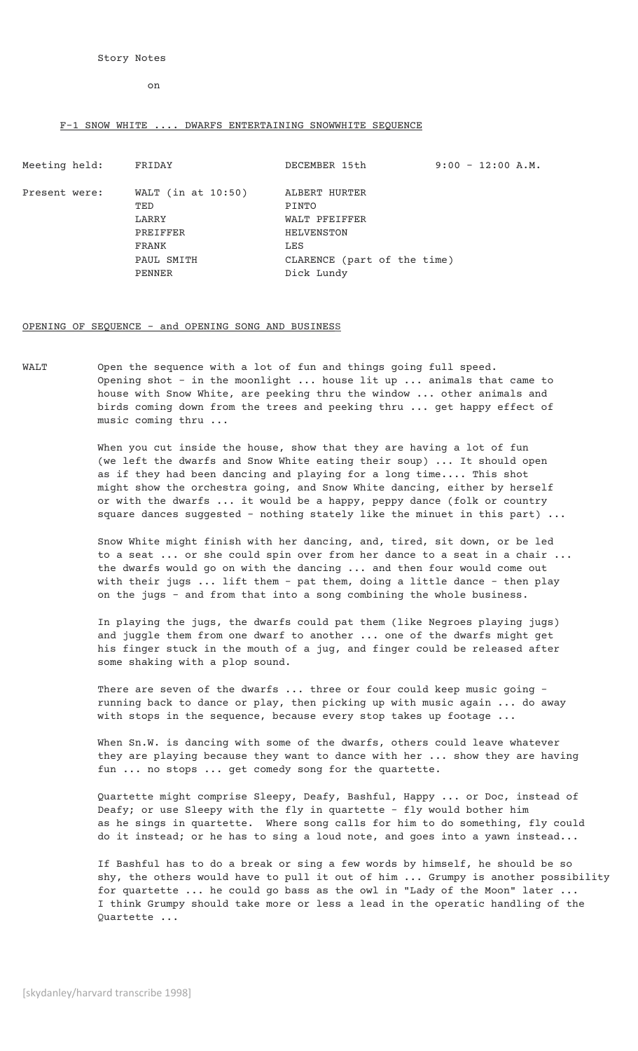on

## F-1 SNOW WHITE .... DWARFS ENTERTAINING SNOWWHITE SEQUENCE

PENNER Dick Lundy

Meeting held: FRIDAY DECEMBER 15th 9:00 - 12:00 A.M.

TED PINTO PREIFFER HELVENSTON FRANK LES LES DAUL SMITH

Present were: WALT (in at 10:50) ALBERT HURTER LARRY WALT PFEIFFER CLARENCE (part of the time)

## OPENING OF SEQUENCE - and OPENING SONG AND BUSINESS

WALT Open the sequence with a lot of fun and things going full speed. Opening shot - in the moonlight ... house lit up ... animals that came to house with Snow White, are peeking thru the window ... other animals and birds coming down from the trees and peeking thru ... get happy effect of music coming thru ...

> When you cut inside the house, show that they are having a lot of fun (we left the dwarfs and Snow White eating their soup) ... It should open as if they had been dancing and playing for a long time.... This shot might show the orchestra going, and Snow White dancing, either by herself or with the dwarfs ... it would be a happy, peppy dance (folk or country square dances suggested - nothing stately like the minuet in this part) ...

Snow White might finish with her dancing, and, tired, sit down, or be led to a seat ... or she could spin over from her dance to a seat in a chair ... the dwarfs would go on with the dancing ... and then four would come out with their jugs ... lift them - pat them, doing a little dance - then play on the jugs - and from that into a song combining the whole business.

In playing the jugs, the dwarfs could pat them (like Negroes playing jugs) and juggle them from one dwarf to another ... one of the dwarfs might get his finger stuck in the mouth of a jug, and finger could be released after some shaking with a plop sound.

There are seven of the dwarfs ... three or four could keep music going running back to dance or play, then picking up with music again ... do away with stops in the sequence, because every stop takes up footage ...

When Sn.W. is dancing with some of the dwarfs, others could leave whatever they are playing because they want to dance with her ... show they are having fun ... no stops ... get comedy song for the quartette.

Quartette might comprise Sleepy, Deafy, Bashful, Happy ... or Doc, instead of Deafy; or use Sleepy with the fly in quartette - fly would bother him as he sings in quartette. Where song calls for him to do something, fly could do it instead; or he has to sing a loud note, and goes into a yawn instead...

If Bashful has to do a break or sing a few words by himself, he should be so shy, the others would have to pull it out of him ... Grumpy is another possibility for quartette ... he could go bass as the owl in "Lady of the Moon" later ... I think Grumpy should take more or less a lead in the operatic handling of the Quartette ...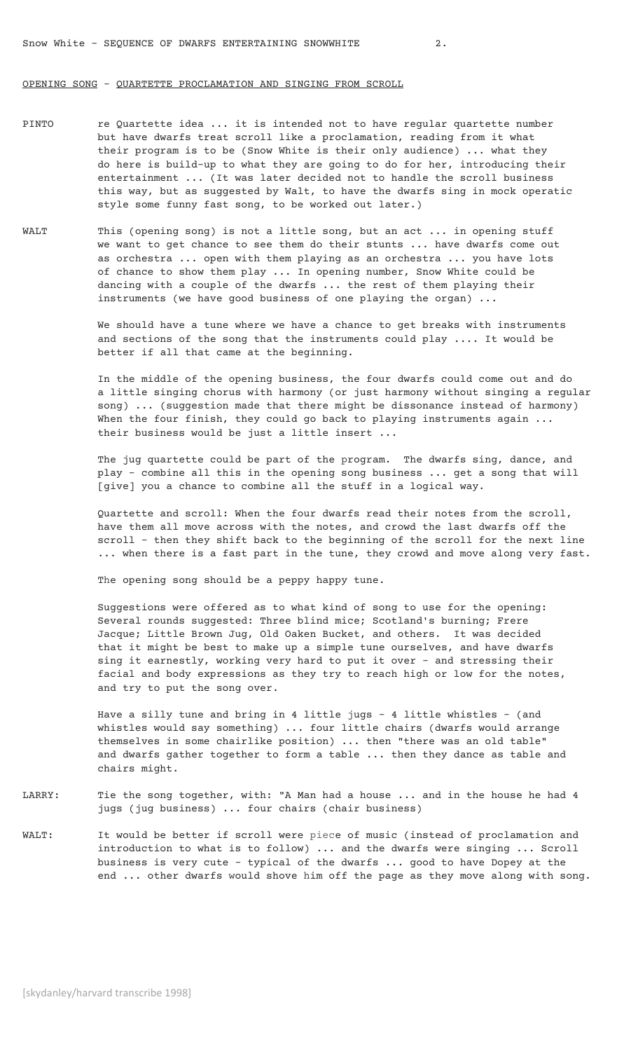## OPENING SONG – QUARTETTE PROCLAMATION AND SINGING FROM SCROLL

- PINTO re Quartette idea ... it is intended not to have regular quartette number but have dwarfs treat scroll like a proclamation, reading from it what their program is to be (Snow White is their only audience) ... what they do here is build-up to what they are going to do for her, introducing their entertainment ... (It was later decided not to handle the scroll business this way, but as suggested by Walt, to have the dwarfs sing in mock operatic style some funny fast song, to be worked out later.)
- WALT This (opening song) is not a little song, but an act ... in opening stuff we want to get chance to see them do their stunts ... have dwarfs come out as orchestra ... open with them playing as an orchestra ... you have lots of chance to show them play ... In opening number, Snow White could be dancing with a couple of the dwarfs ... the rest of them playing their instruments (we have good business of one playing the organ) ...

We should have a tune where we have a chance to get breaks with instruments and sections of the song that the instruments could play .... It would be better if all that came at the beginning.

In the middle of the opening business, the four dwarfs could come out and do a little singing chorus with harmony (or just harmony without singing a regular song) ... (suggestion made that there might be dissonance instead of harmony) When the four finish, they could go back to playing instruments again ... their business would be just a little insert ...

The jug quartette could be part of the program. The dwarfs sing, dance, and play - combine all this in the opening song business ... get a song that will [give] you a chance to combine all the stuff in a logical way.

Quartette and scroll: When the four dwarfs read their notes from the scroll, have them all move across with the notes, and crowd the last dwarfs off the scroll - then they shift back to the beginning of the scroll for the next line ... when there is a fast part in the tune, they crowd and move along very fast.

The opening song should be a peppy happy tune.

Suggestions were offered as to what kind of song to use for the opening: Several rounds suggested: Three blind mice; Scotland's burning; Frere Jacque; Little Brown Jug, Old Oaken Bucket, and others. It was decided that it might be best to make up a simple tune ourselves, and have dwarfs sing it earnestly, working very hard to put it over - and stressing their facial and body expressions as they try to reach high or low for the notes, and try to put the song over.

Have a silly tune and bring in 4 little jugs - 4 little whistles - (and whistles would say something) ... four little chairs (dwarfs would arrange themselves in some chairlike position) ... then "there was an old table" and dwarfs gather together to form a table ... then they dance as table and chairs might.

- LARRY: Tie the song together, with: "A Man had a house ... and in the house he had 4 jugs (jug business) ... four chairs (chair business)
- WALT: It would be better if scroll were piece of music (instead of proclamation and introduction to what is to follow) ... and the dwarfs were singing ... Scroll business is very cute - typical of the dwarfs ... good to have Dopey at the end ... other dwarfs would shove him off the page as they move along with song.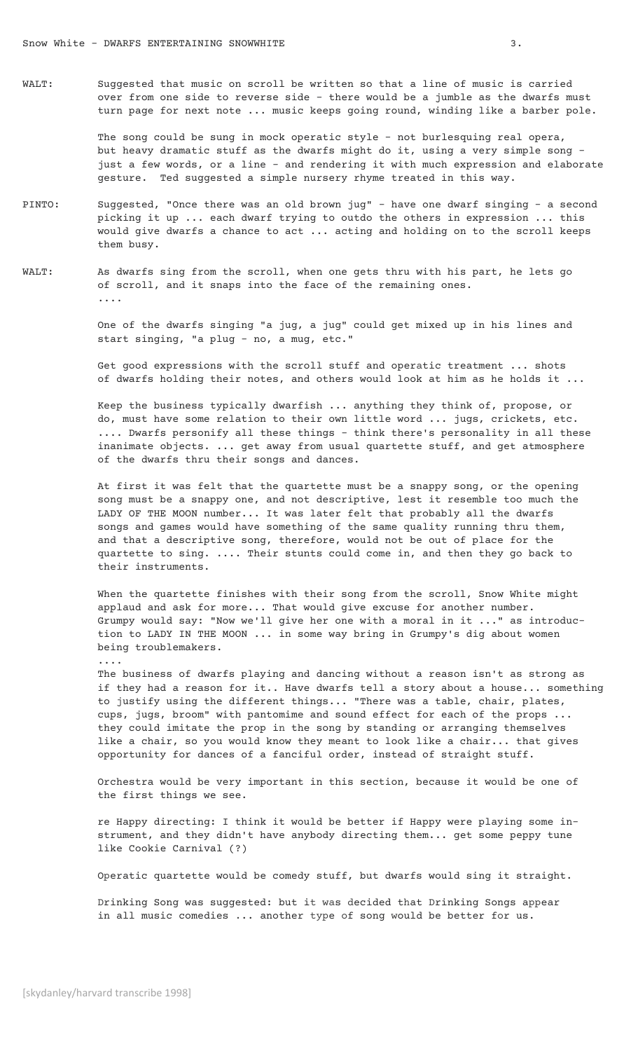WALT: Suggested that music on scroll be written so that a line of music is carried over from one side to reverse side - there would be a jumble as the dwarfs must turn page for next note ... music keeps going round, winding like a barber pole.

> The song could be sung in mock operatic style - not burlesquing real opera, but heavy dramatic stuff as the dwarfs might do it, using a very simple song just a few words, or a line - and rendering it with much expression and elaborate gesture. Ted suggested a simple nursery rhyme treated in this way.

- PINTO: Suggested, "Once there was an old brown jug" have one dwarf singing a second picking it up ... each dwarf trying to outdo the others in expression ... this would give dwarfs a chance to act ... acting and holding on to the scroll keeps them busy.
- WALT: As dwarfs sing from the scroll, when one gets thru with his part, he lets go of scroll, and it snaps into the face of the remaining ones. ....

One of the dwarfs singing "a jug, a jug" could get mixed up in his lines and start singing, "a plug - no, a mug, etc."

Get good expressions with the scroll stuff and operatic treatment ... shots of dwarfs holding their notes, and others would look at him as he holds it ...

Keep the business typically dwarfish ... anything they think of, propose, or do, must have some relation to their own little word ... jugs, crickets, etc. .... Dwarfs personify all these things - think there's personality in all these inanimate objects. ... get away from usual quartette stuff, and get atmosphere of the dwarfs thru their songs and dances.

At first it was felt that the quartette must be a snappy song, or the opening song must be a snappy one, and not descriptive, lest it resemble too much the LADY OF THE MOON number... It was later felt that probably all the dwarfs songs and games would have something of the same quality running thru them, and that a descriptive song, therefore, would not be out of place for the quartette to sing. .... Their stunts could come in, and then they go back to their instruments.

When the quartette finishes with their song from the scroll, Snow White might applaud and ask for more... That would give excuse for another number. Grumpy would say: "Now we'll give her one with a moral in it ..." as introduction to LADY IN THE MOON ... in some way bring in Grumpy's dig about women being troublemakers.

The business of dwarfs playing and dancing without a reason isn't as strong as if they had a reason for it.. Have dwarfs tell a story about a house... something to justify using the different things... "There was a table, chair, plates, cups, jugs, broom" with pantomime and sound effect for each of the props ... they could imitate the prop in the song by standing or arranging themselves like a chair, so you would know they meant to look like a chair... that gives opportunity for dances of a fanciful order, instead of straight stuff.

Orchestra would be very important in this section, because it would be one of the first things we see.

re Happy directing: I think it would be better if Happy were playing some instrument, and they didn't have anybody directing them... get some peppy tune like Cookie Carnival (?)

Operatic quartette would be comedy stuff, but dwarfs would sing it straight.

Drinking Song was suggested: but it was decided that Drinking Songs appear in all music comedies ... another type of song would be better for us.

....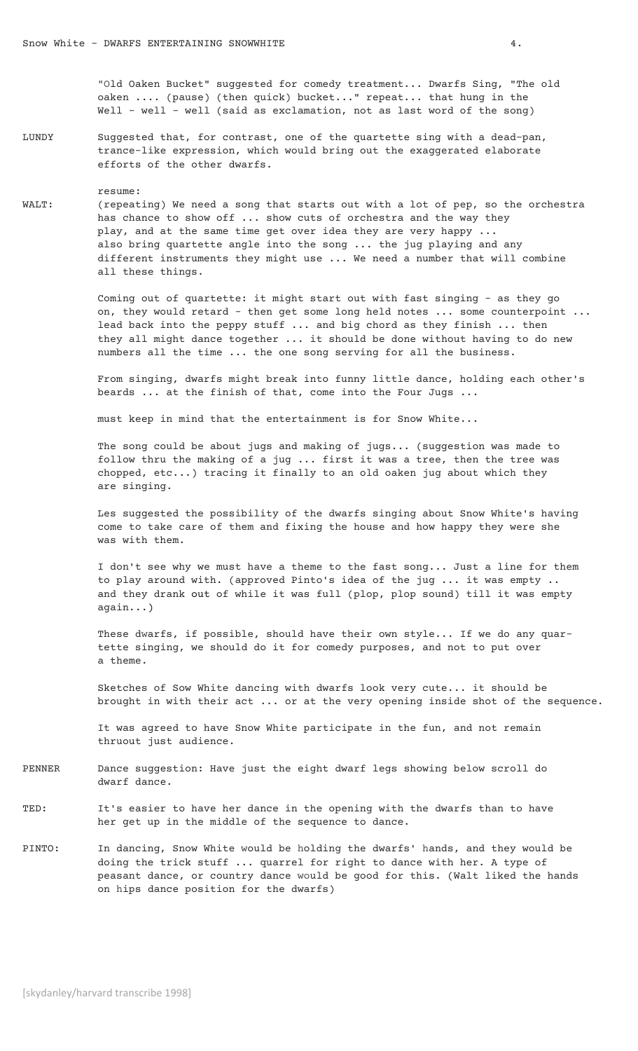"Old Oaken Bucket" suggested for comedy treatment... Dwarfs Sing, "The old oaken .... (pause) (then quick) bucket..." repeat... that hung in the Well - well - well (said as exclamation, not as last word of the song)

LUNDY Suggested that, for contrast, one of the quartette sing with a dead-pan, trance-like expression, which would bring out the exaggerated elaborate efforts of the other dwarfs.

 resume: WALT: (repeating) We need a song that starts out with a lot of pep, so the orchestra has chance to show off ... show cuts of orchestra and the way they play, and at the same time get over idea they are very happy ... also bring quartette angle into the song ... the jug playing and any different instruments they might use ... We need a number that will combine all these things.

> Coming out of quartette: it might start out with fast singing - as they go on, they would retard - then get some long held notes ... some counterpoint ... lead back into the peppy stuff ... and big chord as they finish ... then they all might dance together ... it should be done without having to do new numbers all the time ... the one song serving for all the business.

> From singing, dwarfs might break into funny little dance, holding each other's beards ... at the finish of that, come into the Four Jugs ...

must keep in mind that the entertainment is for Snow White...

The song could be about jugs and making of jugs... (suggestion was made to follow thru the making of a jug ... first it was a tree, then the tree was chopped, etc...) tracing it finally to an old oaken jug about which they are singing.

Les suggested the possibility of the dwarfs singing about Snow White's having come to take care of them and fixing the house and how happy they were she was with them.

I don't see why we must have a theme to the fast song... Just a line for them to play around with. (approved Pinto's idea of the jug ... it was empty .. and they drank out of while it was full (plop, plop sound) till it was empty again...)

These dwarfs, if possible, should have their own style... If we do any quartette singing, we should do it for comedy purposes, and not to put over a theme.

Sketches of Sow White dancing with dwarfs look very cute... it should be brought in with their act ... or at the very opening inside shot of the sequence.

It was agreed to have Snow White participate in the fun, and not remain thruout just audience.

- PENNER Dance suggestion: Have just the eight dwarf legs showing below scroll do dwarf dance.
- TED: It's easier to have her dance in the opening with the dwarfs than to have her get up in the middle of the sequence to dance.
- PINTO: In dancing, Snow White would be holding the dwarfs' hands, and they would be doing the trick stuff ... quarrel for right to dance with her. A type of peasant dance, or country dance would be good for this. (Walt liked the hands on hips dance position for the dwarfs)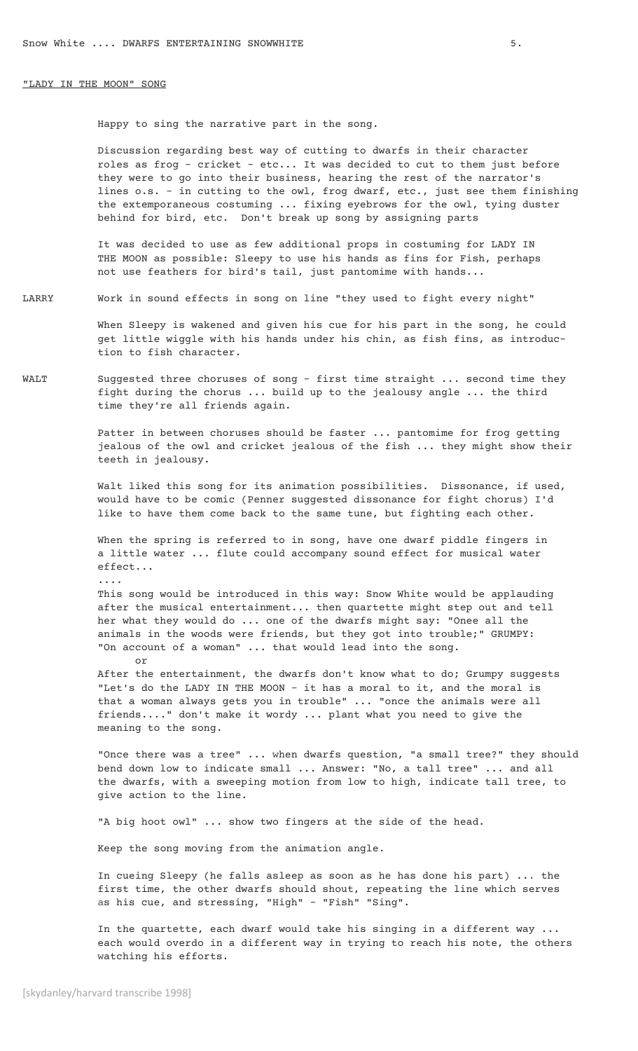## "LADY IN THE MOON" SONG

Happy to sing the narrative part in the song.

Discussion regarding best way of cutting to dwarfs in their character roles as frog - cricket – etc... It was decided to cut to them just before they were to go into their business, hearing the rest of the narrator's lines o.s. - in cutting to the owl, frog dwarf, etc., just see them finishing the extemporaneous costuming ... fixing eyebrows for the owl, tying duster behind for bird, etc. Don't break up song by assigning parts

It was decided to use as few additional props in costuming for LADY IN THE MOON as possible: Sleepy to use his hands as fins for Fish, perhaps not use feathers for bird's tail, just pantomime with hands...

LARRY Work in sound effects in song on line "they used to fight every night"

When Sleepy is wakened and given his cue for his part in the song, he could get little wiggle with his hands under his chin, as fish fins, as introduction to fish character.

WALT Suggested three choruses of song - first time straight ... second time they fight during the chorus ... build up to the jealousy angle ... the third time they're all friends again.

> Patter in between choruses should be faster ... pantomime for frog getting jealous of the owl and cricket jealous of the fish ... they might show their teeth in jealousy.

Walt liked this song for its animation possibilities. Dissonance, if used, would have to be comic (Penner suggested dissonance for fight chorus) I'd like to have them come back to the same tune, but fighting each other.

When the spring is referred to in song, have one dwarf piddle fingers in a little water ... flute could accompany sound effect for musical water effect...

This song would be introduced in this way: Snow White would be applauding after the musical entertainment... then quartette might step out and tell her what they would do ... one of the dwarfs might say: "Onee all the animals in the woods were friends, but they got into trouble;" GRUMPY: "On account of a woman" ... that would lead into the song. or

After the entertainment, the dwarfs don't know what to do; Grumpy suggests "Let's do the LADY IN THE MOON - it has a moral to it, and the moral is that a woman always gets you in trouble" ... "once the animals were all friends...." don't make it wordy ... plant what you need to give the meaning to the song.

"Once there was a tree" ... when dwarfs question, "a small tree?" they should bend down low to indicate small ... Answer: "No, a tall tree" ... and all the dwarfs, with a sweeping motion from low to high, indicate tall tree, to give action to the line.

"A big hoot owl" ... show two fingers at the side of the head.

Keep the song moving from the animation angle.

In cueing Sleepy (he falls asleep as soon as he has done his part) ... the first time, the other dwarfs should shout, repeating the line which serves as his cue, and stressing, "High" – "Fish" "Sing".

In the quartette, each dwarf would take his singing in a different way ... each would overdo in a different way in trying to reach his note, the others watching his efforts.

....